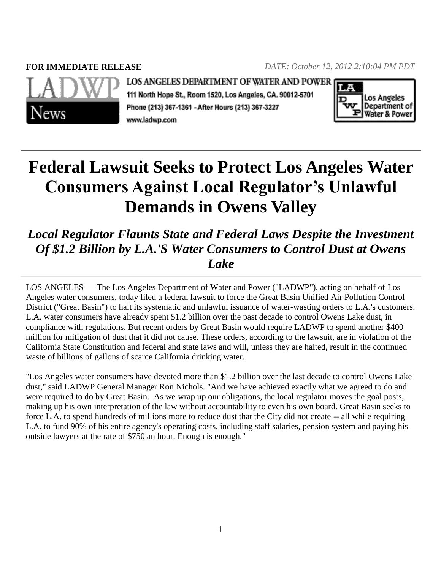**FOR IMMEDIATE RELEASE** *DATE: October 12, 2012 2:10:04 PM PDT*



**LOS ANGELES DEPARTMENT OF WATER AND POWER** 

111 North Hope St., Room 1520, Los Angeles, CA. 90012-5701 Phone (213) 367-1361 - After Hours (213) 367-3227 www.ladwp.com



## **Federal Lawsuit Seeks to Protect Los Angeles Water Consumers Against Local Regulator's Unlawful Demands in Owens Valley**

*Local Regulator Flaunts State and Federal Laws Despite the Investment Of \$1.2 Billion by L.A.'S Water Consumers to Control Dust at Owens Lake*

LOS ANGELES — The Los Angeles Department of Water and Power ("LADWP"), acting on behalf of Los Angeles water consumers, today filed a federal lawsuit to force the Great Basin Unified Air Pollution Control District ("Great Basin") to halt its systematic and unlawful issuance of water-wasting orders to L.A.'s customers. L.A. water consumers have already spent \$1.2 billion over the past decade to control Owens Lake dust, in compliance with regulations. But recent orders by Great Basin would require LADWP to spend another \$400 million for mitigation of dust that it did not cause. These orders, according to the lawsuit, are in violation of the California State Constitution and federal and state laws and will, unless they are halted, result in the continued waste of billions of gallons of scarce California drinking water.

"Los Angeles water consumers have devoted more than \$1.2 billion over the last decade to control Owens Lake dust," said LADWP General Manager Ron Nichols. "And we have achieved exactly what we agreed to do and were required to do by Great Basin. As we wrap up our obligations, the local regulator moves the goal posts, making up his own interpretation of the law without accountability to even his own board. Great Basin seeks to force L.A. to spend hundreds of millions more to reduce dust that the City did not create -- all while requiring L.A. to fund 90% of his entire agency's operating costs, including staff salaries, pension system and paying his outside lawyers at the rate of \$750 an hour. Enough is enough."